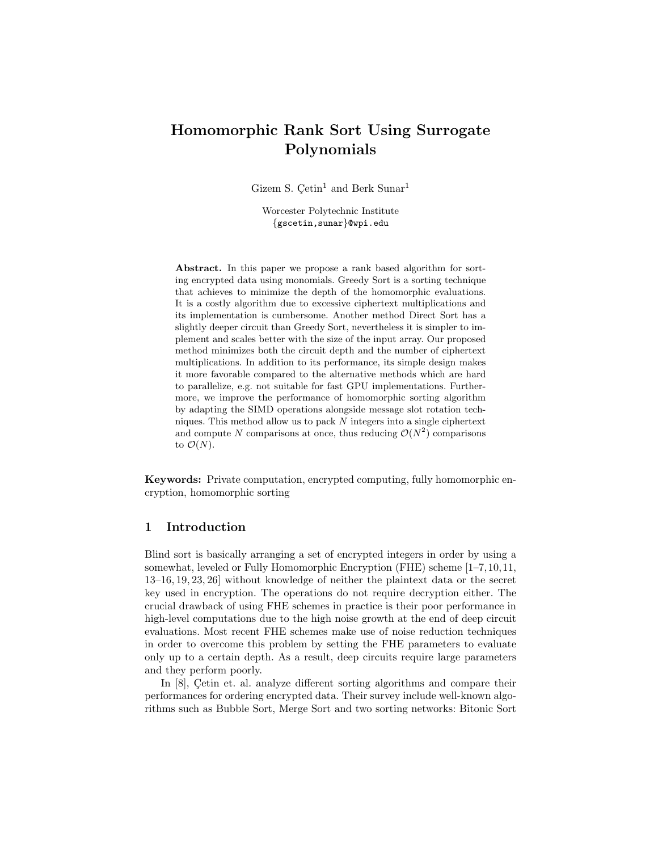# Homomorphic Rank Sort Using Surrogate Polynomials

Gizem S.  $\mathrm{Ce}\mathrm{tin}^1$  and Berk Sunar<sup>1</sup>

Worcester Polytechnic Institute {gscetin,sunar}@wpi.edu

Abstract. In this paper we propose a rank based algorithm for sorting encrypted data using monomials. Greedy Sort is a sorting technique that achieves to minimize the depth of the homomorphic evaluations. It is a costly algorithm due to excessive ciphertext multiplications and its implementation is cumbersome. Another method Direct Sort has a slightly deeper circuit than Greedy Sort, nevertheless it is simpler to implement and scales better with the size of the input array. Our proposed method minimizes both the circuit depth and the number of ciphertext multiplications. In addition to its performance, its simple design makes it more favorable compared to the alternative methods which are hard to parallelize, e.g. not suitable for fast GPU implementations. Furthermore, we improve the performance of homomorphic sorting algorithm by adapting the SIMD operations alongside message slot rotation techniques. This method allow us to pack  $N$  integers into a single ciphertext and compute N comparisons at once, thus reducing  $\mathcal{O}(N^2)$  comparisons to  $\mathcal{O}(N)$ .

Keywords: Private computation, encrypted computing, fully homomorphic encryption, homomorphic sorting

# 1 Introduction

Blind sort is basically arranging a set of encrypted integers in order by using a somewhat, leveled or Fully Homomorphic Encryption (FHE) scheme [1–7,10,11, 13–16, 19, 23, 26] without knowledge of neither the plaintext data or the secret key used in encryption. The operations do not require decryption either. The crucial drawback of using FHE schemes in practice is their poor performance in high-level computations due to the high noise growth at the end of deep circuit evaluations. Most recent FHE schemes make use of noise reduction techniques in order to overcome this problem by setting the FHE parameters to evaluate only up to a certain depth. As a result, deep circuits require large parameters and they perform poorly.

In  $[8]$ , Cetin et. al. analyze different sorting algorithms and compare their performances for ordering encrypted data. Their survey include well-known algorithms such as Bubble Sort, Merge Sort and two sorting networks: Bitonic Sort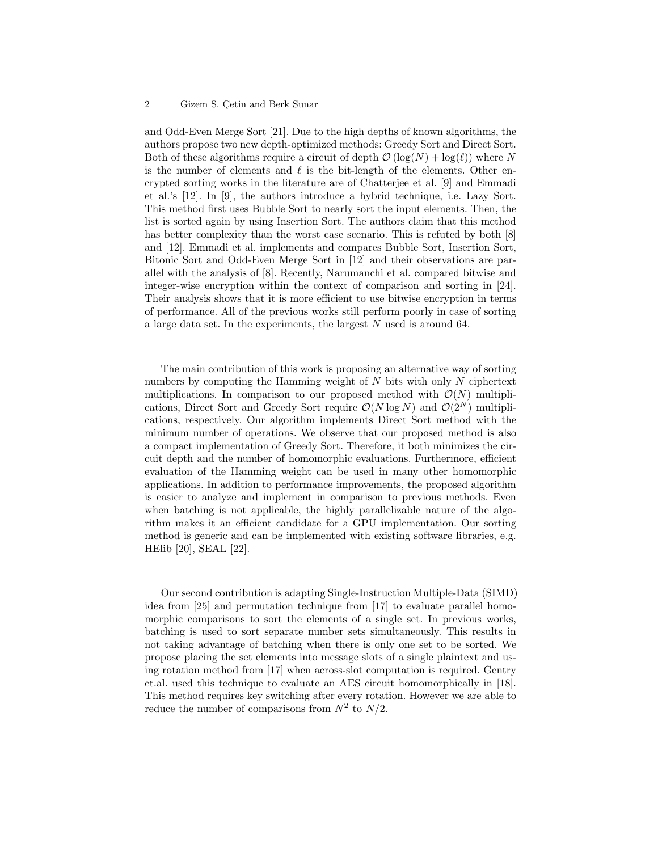#### 2 Gizem S. Cetin and Berk Sunar

and Odd-Even Merge Sort [21]. Due to the high depths of known algorithms, the authors propose two new depth-optimized methods: Greedy Sort and Direct Sort. Both of these algorithms require a circuit of depth  $\mathcal{O}(\log(N) + \log(\ell))$  where N is the number of elements and  $\ell$  is the bit-length of the elements. Other encrypted sorting works in the literature are of Chatterjee et al. [9] and Emmadi et al.'s [12]. In [9], the authors introduce a hybrid technique, i.e. Lazy Sort. This method first uses Bubble Sort to nearly sort the input elements. Then, the list is sorted again by using Insertion Sort. The authors claim that this method has better complexity than the worst case scenario. This is refuted by both [8] and [12]. Emmadi et al. implements and compares Bubble Sort, Insertion Sort, Bitonic Sort and Odd-Even Merge Sort in [12] and their observations are parallel with the analysis of [8]. Recently, Narumanchi et al. compared bitwise and integer-wise encryption within the context of comparison and sorting in [24]. Their analysis shows that it is more efficient to use bitwise encryption in terms of performance. All of the previous works still perform poorly in case of sorting a large data set. In the experiments, the largest  $N$  used is around 64.

The main contribution of this work is proposing an alternative way of sorting numbers by computing the Hamming weight of  $N$  bits with only  $N$  ciphertext multiplications. In comparison to our proposed method with  $\mathcal{O}(N)$  multiplications, Direct Sort and Greedy Sort require  $\mathcal{O}(N \log N)$  and  $\mathcal{O}(2^N)$  multiplications, respectively. Our algorithm implements Direct Sort method with the minimum number of operations. We observe that our proposed method is also a compact implementation of Greedy Sort. Therefore, it both minimizes the circuit depth and the number of homomorphic evaluations. Furthermore, efficient evaluation of the Hamming weight can be used in many other homomorphic applications. In addition to performance improvements, the proposed algorithm is easier to analyze and implement in comparison to previous methods. Even when batching is not applicable, the highly parallelizable nature of the algorithm makes it an efficient candidate for a GPU implementation. Our sorting method is generic and can be implemented with existing software libraries, e.g. HElib [20], SEAL [22].

Our second contribution is adapting Single-Instruction Multiple-Data (SIMD) idea from [25] and permutation technique from [17] to evaluate parallel homomorphic comparisons to sort the elements of a single set. In previous works, batching is used to sort separate number sets simultaneously. This results in not taking advantage of batching when there is only one set to be sorted. We propose placing the set elements into message slots of a single plaintext and using rotation method from [17] when across-slot computation is required. Gentry et.al. used this technique to evaluate an AES circuit homomorphically in [18]. This method requires key switching after every rotation. However we are able to reduce the number of comparisons from  $N^2$  to  $N/2$ .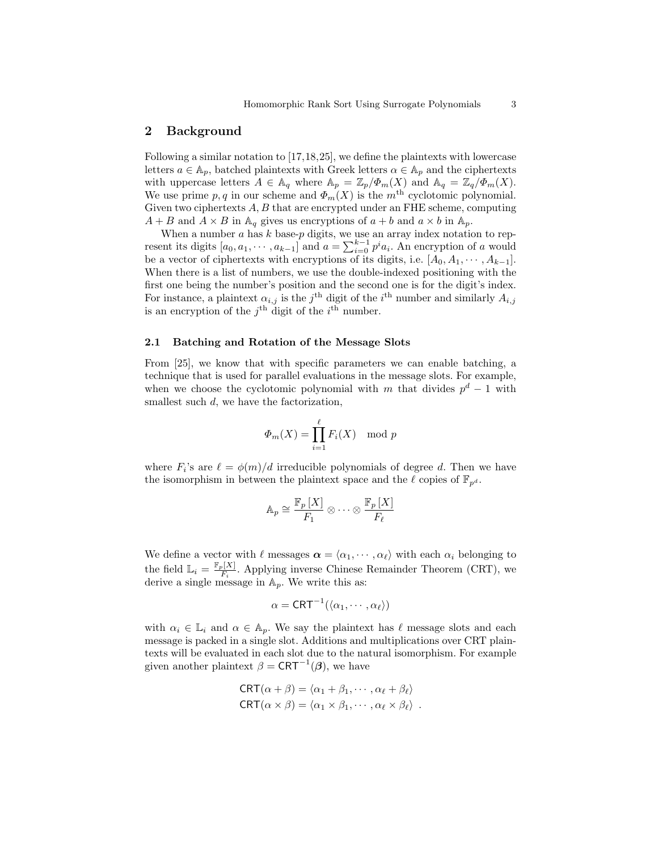### 2 Background

Following a similar notation to [17,18,25], we define the plaintexts with lowercase letters  $a \in A_p$ , batched plaintexts with Greek letters  $\alpha \in A_p$  and the ciphertexts with uppercase letters  $A \in \mathbb{A}_q$  where  $\mathbb{A}_p = \mathbb{Z}_p/\Phi_m(X)$  and  $\mathbb{A}_q = \mathbb{Z}_q/\Phi_m(X)$ . We use prime  $p, q$  in our scheme and  $\Phi_m(X)$  is the  $m^{\text{th}}$  cyclotomic polynomial. Given two ciphertexts  $A, B$  that are encrypted under an FHE scheme, computing  $A + B$  and  $A \times B$  in  $\mathbb{A}_q$  gives us encryptions of  $a + b$  and  $a \times b$  in  $\mathbb{A}_p$ .

When a number  $a$  has  $k$  base- $p$  digits, we use an array index notation to represent its digits  $[a_0, a_1, \dots, a_{k-1}]$  and  $a = \sum_{i=0}^{k-1} p^i a_i$ . An encryption of a would be a vector of ciphertexts with encryptions of its digits, i.e.  $[A_0, A_1, \cdots, A_{k-1}]$ . When there is a list of numbers, we use the double-indexed positioning with the first one being the number's position and the second one is for the digit's index. For instance, a plaintext  $\alpha_{i,j}$  is the j<sup>th</sup> digit of the i<sup>th</sup> number and similarly  $A_{i,j}$ is an encryption of the  $j^{\text{th}}$  digit of the  $i^{\text{th}}$  number.

### 2.1 Batching and Rotation of the Message Slots

From [25], we know that with specific parameters we can enable batching, a technique that is used for parallel evaluations in the message slots. For example, when we choose the cyclotomic polynomial with m that divides  $p<sup>d</sup> - 1$  with smallest such  $d$ , we have the factorization,

$$
\Phi_m(X) = \prod_{i=1}^{\ell} F_i(X) \mod p
$$

where  $F_i$ 's are  $\ell = \phi(m)/d$  irreducible polynomials of degree d. Then we have the isomorphism in between the plaintext space and the  $\ell$  copies of  $\mathbb{F}_{p^d}$ .

$$
\mathbb{A}_p \cong \frac{\mathbb{F}_p \left[ X \right]}{F_1} \otimes \cdots \otimes \frac{\mathbb{F}_p \left[ X \right]}{F_\ell}
$$

We define a vector with  $\ell$  messages  $\boldsymbol{\alpha} = \langle \alpha_1, \cdots, \alpha_\ell \rangle$  with each  $\alpha_i$  belonging to the field  $\mathbb{L}_i = \frac{\mathbb{F}_p[X]}{F_i}$  $\frac{\mathbb{E}[X]}{F_i}$ . Applying inverse Chinese Remainder Theorem (CRT), we derive a single message in  $\mathbb{A}_p$ . We write this as:

$$
\alpha=\mathsf{CRT}^{-1}(\langle \alpha_1,\cdots,\alpha_\ell\rangle)
$$

with  $\alpha_i \in \mathbb{L}_i$  and  $\alpha \in \mathbb{A}_p$ . We say the plaintext has  $\ell$  message slots and each message is packed in a single slot. Additions and multiplications over CRT plaintexts will be evaluated in each slot due to the natural isomorphism. For example given another plaintext  $\beta = \text{CRT}^{-1}(\beta)$ , we have

$$
CRT(\alpha + \beta) = \langle \alpha_1 + \beta_1, \cdots, \alpha_\ell + \beta_\ell \rangle
$$
  

$$
CRT(\alpha \times \beta) = \langle \alpha_1 \times \beta_1, \cdots, \alpha_\ell \times \beta_\ell \rangle.
$$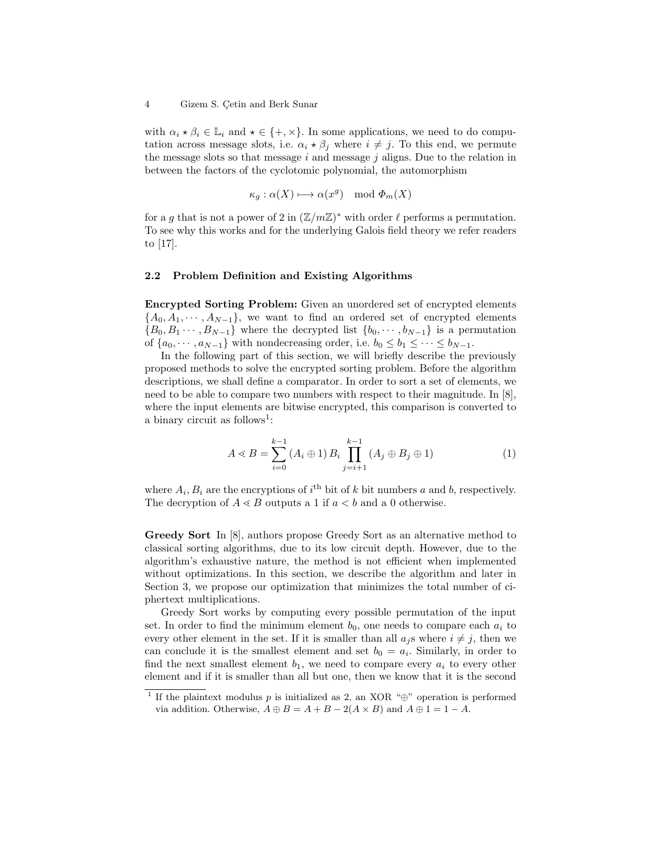with  $\alpha_i \star \beta_i \in \mathbb{L}_i$  and  $\star \in \{+, \times\}$ . In some applications, we need to do computation across message slots, i.e.  $\alpha_i \star \beta_j$  where  $i \neq j$ . To this end, we permute the message slots so that message  $i$  and message  $j$  aligns. Due to the relation in between the factors of the cyclotomic polynomial, the automorphism

$$
\kappa_g : \alpha(X) \longmapsto \alpha(x^g) \mod \Phi_m(X)
$$

for a g that is not a power of 2 in  $(\mathbb{Z}/m\mathbb{Z})^*$  with order  $\ell$  performs a permutation. To see why this works and for the underlying Galois field theory we refer readers to [17].

### 2.2 Problem Definition and Existing Algorithms

Encrypted Sorting Problem: Given an unordered set of encrypted elements  ${A_0, A_1, \dots, A_{N-1}}$ , we want to find an ordered set of encrypted elements  ${B_0, B_1 \cdots, B_{N-1}}$  where the decrypted list  ${b_0, \cdots, b_{N-1}}$  is a permutation of  $\{a_0, \dots, a_{N-1}\}\$  with nondecreasing order, i.e.  $b_0 \leq b_1 \leq \dots \leq b_{N-1}\$ .

In the following part of this section, we will briefly describe the previously proposed methods to solve the encrypted sorting problem. Before the algorithm descriptions, we shall define a comparator. In order to sort a set of elements, we need to be able to compare two numbers with respect to their magnitude. In [8], where the input elements are bitwise encrypted, this comparison is converted to a binary circuit as follows<sup>1</sup>:

$$
A \ll B = \sum_{i=0}^{k-1} (A_i \oplus 1) B_i \prod_{j=i+1}^{k-1} (A_j \oplus B_j \oplus 1)
$$
 (1)

where  $A_i, B_i$  are the encryptions of  $i^{\text{th}}$  bit of k bit numbers a and b, respectively. The decryption of  $A \leq B$  outputs a 1 if  $a \leq b$  and a 0 otherwise.

Greedy Sort In [8], authors propose Greedy Sort as an alternative method to classical sorting algorithms, due to its low circuit depth. However, due to the algorithm's exhaustive nature, the method is not efficient when implemented without optimizations. In this section, we describe the algorithm and later in Section 3, we propose our optimization that minimizes the total number of ciphertext multiplications.

Greedy Sort works by computing every possible permutation of the input set. In order to find the minimum element  $b_0$ , one needs to compare each  $a_i$  to every other element in the set. If it is smaller than all  $a_j$ s where  $i \neq j$ , then we can conclude it is the smallest element and set  $b_0 = a_i$ . Similarly, in order to find the next smallest element  $b_1$ , we need to compare every  $a_i$  to every other element and if it is smaller than all but one, then we know that it is the second

<sup>&</sup>lt;sup>1</sup> If the plaintext modulus p is initialized as 2, an XOR "⊕" operation is performed via addition. Otherwise,  $A \oplus B = A + B - 2(A \times B)$  and  $A \oplus 1 = 1 - A$ .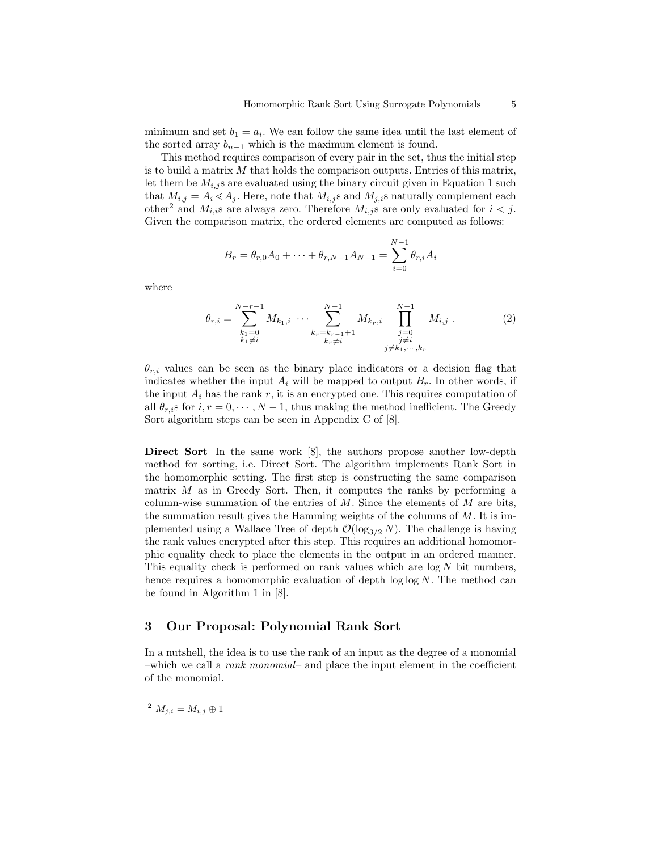minimum and set  $b_1 = a_i$ . We can follow the same idea until the last element of the sorted array  $b_{n-1}$  which is the maximum element is found.

This method requires comparison of every pair in the set, thus the initial step is to build a matrix  $M$  that holds the comparison outputs. Entries of this matrix, let them be  $M_{i,j}$ s are evaluated using the binary circuit given in Equation 1 such that  $M_{i,j} = A_i \ll A_j$ . Here, note that  $M_{i,j}$ s and  $M_{j,i}$ s naturally complement each other<sup>2</sup> and  $M_{i,i}$ s are always zero. Therefore  $M_{i,j}$ s are only evaluated for  $i < j$ . Given the comparison matrix, the ordered elements are computed as follows:

$$
B_r = \theta_{r,0}A_0 + \dots + \theta_{r,N-1}A_{N-1} = \sum_{i=0}^{N-1} \theta_{r,i}A_i
$$

where

$$
\theta_{r,i} = \sum_{\substack{k_1=0 \ k_1 \neq i}}^{N-r-1} M_{k_1,i} \cdots \sum_{\substack{k_r=k_{r-1}+1 \ k_r \neq i}}^{N-1} M_{k_r,i} \prod_{\substack{j=0 \ j \neq i}}^{N-1} M_{i,j} . \tag{2}
$$

 $\theta_{r,i}$  values can be seen as the binary place indicators or a decision flag that indicates whether the input  $A_i$  will be mapped to output  $B_r$ . In other words, if the input  $A_i$  has the rank r, it is an encrypted one. This requires computation of all  $\theta_{r,i}$ s for  $i, r = 0, \dots, N-1$ , thus making the method inefficient. The Greedy Sort algorithm steps can be seen in Appendix C of [8].

Direct Sort In the same work [8], the authors propose another low-depth method for sorting, i.e. Direct Sort. The algorithm implements Rank Sort in the homomorphic setting. The first step is constructing the same comparison matrix  $M$  as in Greedy Sort. Then, it computes the ranks by performing a column-wise summation of the entries of  $M$ . Since the elements of  $M$  are bits, the summation result gives the Hamming weights of the columns of  $M$ . It is implemented using a Wallace Tree of depth  $\mathcal{O}(\log_{3/2} N)$ . The challenge is having the rank values encrypted after this step. This requires an additional homomorphic equality check to place the elements in the output in an ordered manner. This equality check is performed on rank values which are  $log N$  bit numbers, hence requires a homomorphic evaluation of depth  $\log \log N$ . The method can be found in Algorithm 1 in [8].

# 3 Our Proposal: Polynomial Rank Sort

In a nutshell, the idea is to use the rank of an input as the degree of a monomial –which we call a *rank monomial*– and place the input element in the coefficient of the monomial.

 $\overline{\Delta^n M_{i,i} = M_{i,j}} \oplus 1$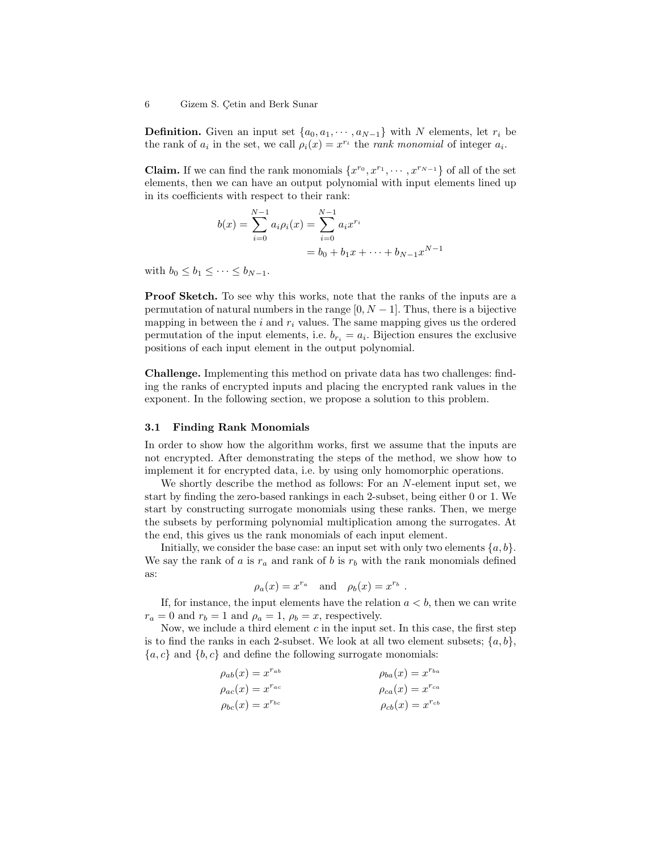**Definition.** Given an input set  $\{a_0, a_1, \dots, a_{N-1}\}\$  with N elements, let  $r_i$  be the rank of  $a_i$  in the set, we call  $\rho_i(x) = x^{r_i}$  the *rank monomial* of integer  $a_i$ .

**Claim.** If we can find the rank monomials  $\{x^{r_0}, x^{r_1}, \dots, x^{r_{N-1}}\}$  of all of the set elements, then we can have an output polynomial with input elements lined up in its coefficients with respect to their rank:

$$
b(x) = \sum_{i=0}^{N-1} a_i \rho_i(x) = \sum_{i=0}^{N-1} a_i x^{r_i}
$$
  
=  $b_0 + b_1 x + \dots + b_{N-1} x^{N-1}$ 

with  $b_0 \leq b_1 \leq \cdots \leq b_{N-1}$ .

Proof Sketch. To see why this works, note that the ranks of the inputs are a permutation of natural numbers in the range  $[0, N - 1]$ . Thus, there is a bijective mapping in between the  $i$  and  $r_i$  values. The same mapping gives us the ordered permutation of the input elements, i.e.  $b_{r_i} = a_i$ . Bijection ensures the exclusive positions of each input element in the output polynomial.

Challenge. Implementing this method on private data has two challenges: finding the ranks of encrypted inputs and placing the encrypted rank values in the exponent. In the following section, we propose a solution to this problem.

#### 3.1 Finding Rank Monomials

In order to show how the algorithm works, first we assume that the inputs are not encrypted. After demonstrating the steps of the method, we show how to implement it for encrypted data, i.e. by using only homomorphic operations.

We shortly describe the method as follows: For an N-element input set, we start by finding the zero-based rankings in each 2-subset, being either 0 or 1. We start by constructing surrogate monomials using these ranks. Then, we merge the subsets by performing polynomial multiplication among the surrogates. At the end, this gives us the rank monomials of each input element.

Initially, we consider the base case: an input set with only two elements  $\{a, b\}$ . We say the rank of a is  $r_a$  and rank of b is  $r_b$  with the rank monomials defined as:

$$
\rho_a(x) = x^{r_a}
$$
 and  $\rho_b(x) = x^{r_b}$ .

If, for instance, the input elements have the relation  $a < b$ , then we can write  $r_a = 0$  and  $r_b = 1$  and  $\rho_a = 1$ ,  $\rho_b = x$ , respectively.

Now, we include a third element  $c$  in the input set. In this case, the first step is to find the ranks in each 2-subset. We look at all two element subsets;  $\{a, b\}$ ,  ${a, c}$  and  ${b, c}$  and define the following surrogate monomials:

$$
\rho_{ab}(x) = x^{r_{ab}} \qquad \rho_{ba}(x) = x^{r_{ba}}
$$
  
\n
$$
\rho_{ac}(x) = x^{r_{ac}} \qquad \rho_{ca}(x) = x^{r_{ca}}
$$
  
\n
$$
\rho_{bc}(x) = x^{r_{bc}} \qquad \rho_{cb}(x) = x^{r_{cb}}
$$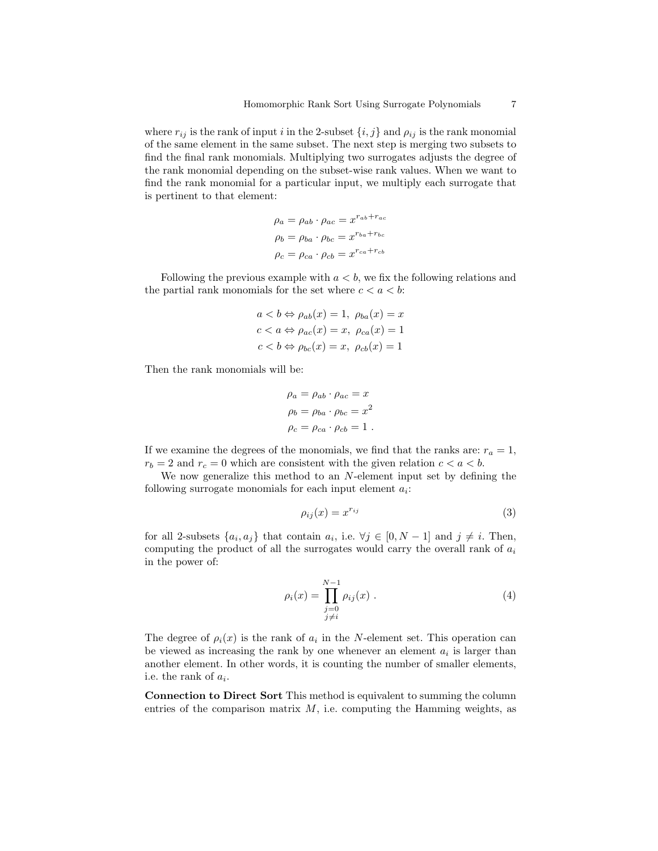where  $r_{ij}$  is the rank of input i in the 2-subset  $\{i, j\}$  and  $\rho_{ij}$  is the rank monomial of the same element in the same subset. The next step is merging two subsets to find the final rank monomials. Multiplying two surrogates adjusts the degree of the rank monomial depending on the subset-wise rank values. When we want to find the rank monomial for a particular input, we multiply each surrogate that is pertinent to that element:

$$
\rho_a = \rho_{ab} \cdot \rho_{ac} = x^{r_{ab} + r_{ac}}
$$

$$
\rho_b = \rho_{ba} \cdot \rho_{bc} = x^{r_{ba} + r_{bc}}
$$

$$
\rho_c = \rho_{ca} \cdot \rho_{cb} = x^{r_{ca} + r_{cb}}
$$

Following the previous example with  $a < b$ , we fix the following relations and the partial rank monomials for the set where  $c < a < b$ :

$$
a < b \Leftrightarrow \rho_{ab}(x) = 1, \ \rho_{ba}(x) = x
$$
  

$$
c < a \Leftrightarrow \rho_{ac}(x) = x, \ \rho_{ca}(x) = 1
$$
  

$$
c < b \Leftrightarrow \rho_{bc}(x) = x, \ \rho_{cb}(x) = 1
$$

Then the rank monomials will be:

$$
\rho_a = \rho_{ab} \cdot \rho_{ac} = x
$$

$$
\rho_b = \rho_{ba} \cdot \rho_{bc} = x^2
$$

$$
\rho_c = \rho_{ca} \cdot \rho_{cb} = 1
$$

If we examine the degrees of the monomials, we find that the ranks are:  $r_a = 1$ ,  $r_b = 2$  and  $r_c = 0$  which are consistent with the given relation  $c < a < b$ .

We now generalize this method to an N-element input set by defining the following surrogate monomials for each input element  $a_i$ :

$$
\rho_{ij}(x) = x^{r_{ij}} \tag{3}
$$

for all 2-subsets  $\{a_i, a_j\}$  that contain  $a_i$ , i.e.  $\forall j \in [0, N-1]$  and  $j \neq i$ . Then, computing the product of all the surrogates would carry the overall rank of  $a_i$ in the power of:

$$
\rho_i(x) = \prod_{\substack{j=0 \ j \neq i}}^{N-1} \rho_{ij}(x) . \tag{4}
$$

The degree of  $\rho_i(x)$  is the rank of  $a_i$  in the N-element set. This operation can be viewed as increasing the rank by one whenever an element  $a_i$  is larger than another element. In other words, it is counting the number of smaller elements, i.e. the rank of  $a_i$ .

Connection to Direct Sort This method is equivalent to summing the column entries of the comparison matrix  $M$ , i.e. computing the Hamming weights, as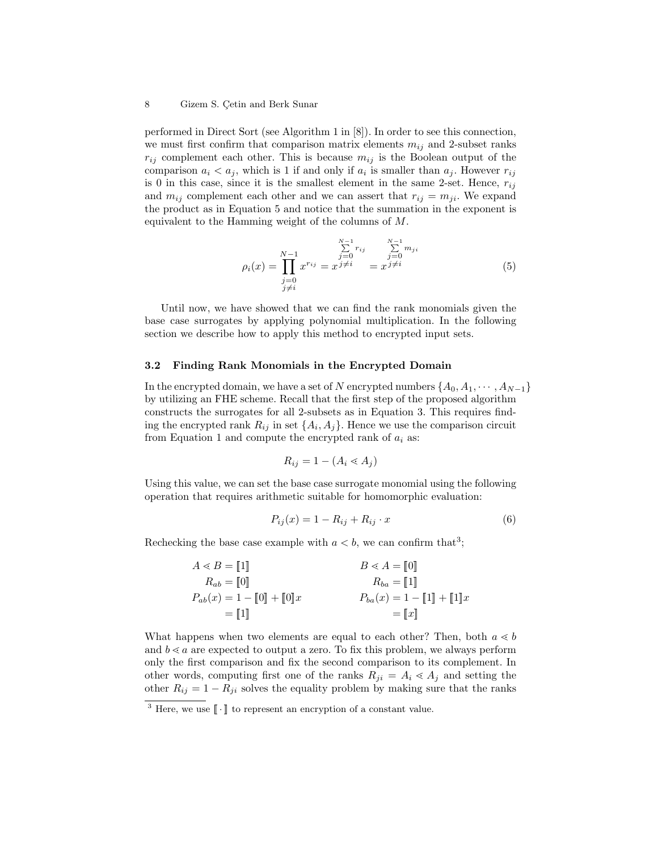#### 8 Gizem S. Cetin and Berk Sunar

performed in Direct Sort (see Algorithm 1 in [8]). In order to see this connection, we must first confirm that comparison matrix elements  $m_{ij}$  and 2-subset ranks  $r_{ij}$  complement each other. This is because  $m_{ij}$  is the Boolean output of the comparison  $a_i < a_j$ , which is 1 if and only if  $a_i$  is smaller than  $a_j$ . However  $r_{ij}$ is 0 in this case, since it is the smallest element in the same 2-set. Hence,  $r_{ij}$ and  $m_{ij}$  complement each other and we can assert that  $r_{ij} = m_{ji}$ . We expand the product as in Equation 5 and notice that the summation in the exponent is equivalent to the Hamming weight of the columns of M.

$$
\rho_i(x) = \prod_{\substack{j=0 \ j \neq i}}^{N-1} x^{r_{ij}} = x^{\sum_{j=0}^{N-1} r_{ij}} = x^{\sum_{j=0}^{N-1} m_{ji}} \tag{5}
$$

Until now, we have showed that we can find the rank monomials given the base case surrogates by applying polynomial multiplication. In the following section we describe how to apply this method to encrypted input sets.

### 3.2 Finding Rank Monomials in the Encrypted Domain

In the encrypted domain, we have a set of N encrypted numbers  $\{A_0, A_1, \dots, A_{N-1}\}$ by utilizing an FHE scheme. Recall that the first step of the proposed algorithm constructs the surrogates for all 2-subsets as in Equation 3. This requires finding the encrypted rank  $R_{ij}$  in set  $\{A_i, A_j\}$ . Hence we use the comparison circuit from Equation 1 and compute the encrypted rank of  $a_i$  as:

$$
R_{ij} = 1 - (A_i \lessdot A_j)
$$

Using this value, we can set the base case surrogate monomial using the following operation that requires arithmetic suitable for homomorphic evaluation:

$$
P_{ij}(x) = 1 - R_{ij} + R_{ij} \cdot x \tag{6}
$$

Rechecking the base case example with  $a < b$ , we can confirm that<sup>3</sup>;

$$
\begin{aligned} A &\lessdot B = \llbracket 1 \rrbracket \\ R_{ab} &\equiv \llbracket 0 \rrbracket \\ P_{ab}(x) &\equiv 1 - \llbracket 0 \rrbracket + \llbracket 0 \rrbracket x \end{aligned} \hspace{1.5cm} \begin{aligned} B &\lessdot A = \llbracket 0 \rrbracket \\ R_{ba} &\equiv \llbracket 1 \rrbracket \\ P_{ba}(x) &\equiv 1 - \llbracket 1 \rrbracket + \llbracket 1 \rrbracket x \\ &\equiv \llbracket x \rrbracket \end{aligned}
$$

What happens when two elements are equal to each other? Then, both  $a \ll b$ and  $b \le a$  are expected to output a zero. To fix this problem, we always perform only the first comparison and fix the second comparison to its complement. In other words, computing first one of the ranks  $R_{ji} = A_i \ll A_j$  and setting the other  $R_{ij} = 1 - R_{ji}$  solves the equality problem by making sure that the ranks

<sup>&</sup>lt;sup>3</sup> Here, we use  $\lceil \cdot \rceil$  to represent an encryption of a constant value.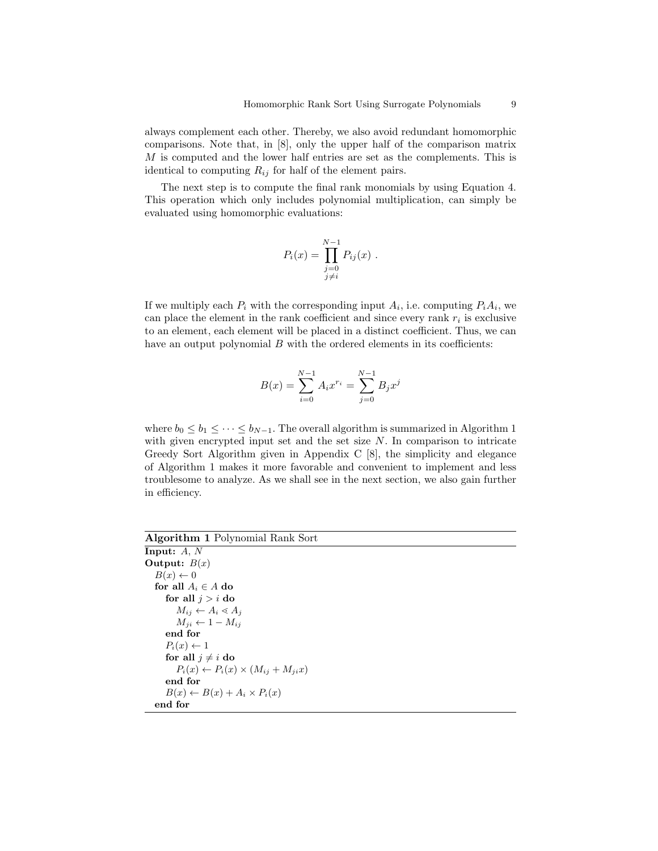always complement each other. Thereby, we also avoid redundant homomorphic comparisons. Note that, in [8], only the upper half of the comparison matrix M is computed and the lower half entries are set as the complements. This is identical to computing  $R_{ij}$  for half of the element pairs.

The next step is to compute the final rank monomials by using Equation 4. This operation which only includes polynomial multiplication, can simply be evaluated using homomorphic evaluations:

$$
P_i(x) = \prod_{\substack{j=0 \ j \neq i}}^{N-1} P_{ij}(x) \; .
$$

If we multiply each  $P_i$  with the corresponding input  $A_i$ , i.e. computing  $P_iA_i$ , we can place the element in the rank coefficient and since every rank  $r_i$  is exclusive to an element, each element will be placed in a distinct coefficient. Thus, we can have an output polynomial  $B$  with the ordered elements in its coefficients:

$$
B(x) = \sum_{i=0}^{N-1} A_i x^{r_i} = \sum_{j=0}^{N-1} B_j x^j
$$

where  $b_0 \leq b_1 \leq \cdots \leq b_{N-1}$ . The overall algorithm is summarized in Algorithm 1 with given encrypted input set and the set size  $N$ . In comparison to intricate Greedy Sort Algorithm given in Appendix C [8], the simplicity and elegance of Algorithm 1 makes it more favorable and convenient to implement and less troublesome to analyze. As we shall see in the next section, we also gain further in efficiency.

#### Algorithm 1 Polynomial Rank Sort  $\overline{I}$   $\overline{A}$   $\overline{A}$

| пприс: д. л                                          |
|------------------------------------------------------|
| Output: $B(x)$                                       |
| $B(x) \leftarrow 0$                                  |
| for all $A_i \in A$ do                               |
| for all $i > i$ do                                   |
| $M_{ij} \leftarrow A_i \triangleleft A_j$            |
| $M_{ii} \leftarrow 1 - M_{ii}$                       |
| end for                                              |
| $P_i(x) \leftarrow 1$                                |
| for all $i \neq i$ do                                |
| $P_i(x) \leftarrow P_i(x) \times (M_{ij} + M_{ji}x)$ |
| end for                                              |
| $B(x) \leftarrow B(x) + A_i \times P_i(x)$           |
| end for                                              |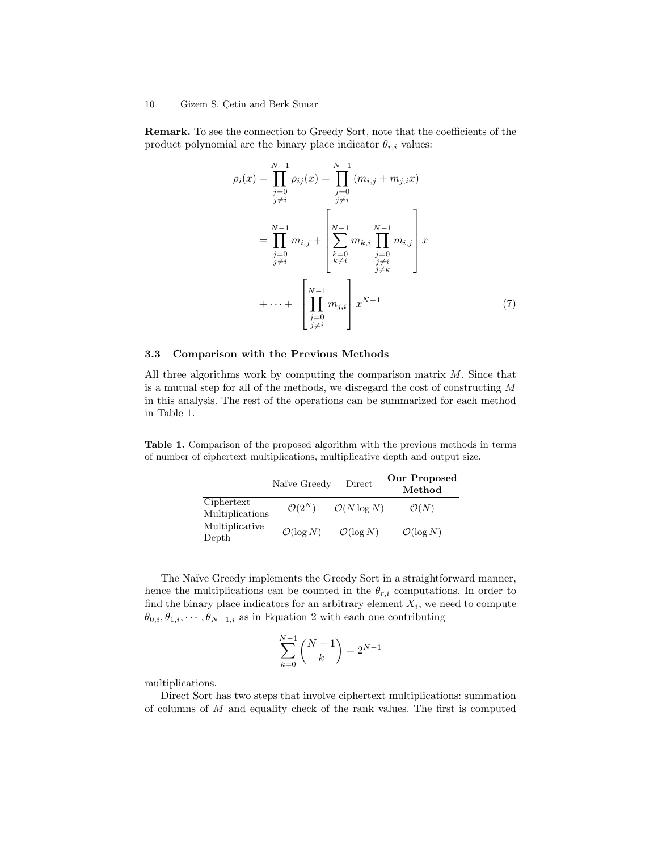#### 10 Gizem S. Çetin and Berk Sunar

Remark. To see the connection to Greedy Sort, note that the coefficients of the product polynomial are the binary place indicator  $\theta_{r,i}$  values:

$$
\rho_i(x) = \prod_{\substack{j=0 \ j \neq i}}^{N-1} \rho_{ij}(x) = \prod_{\substack{j=0 \ j \neq i}}^{N-1} (m_{i,j} + m_{j,i}x)
$$

$$
= \prod_{\substack{j=0 \ j \neq i}}^{N-1} m_{i,j} + \left[ \sum_{\substack{k=0 \ k \neq i}}^{N-1} m_{k,i} \prod_{\substack{j=0 \ j \neq i}}^{N-1} m_{i,j} \right] x
$$

$$
+ \cdots + \left[ \prod_{\substack{j=0 \ j \neq i}}^{N-1} m_{j,i} \right] x^{N-1} \tag{7}
$$

### 3.3 Comparison with the Previous Methods

All three algorithms work by computing the comparison matrix  $M$ . Since that is a mutual step for all of the methods, we disregard the cost of constructing M in this analysis. The rest of the operations can be summarized for each method in Table 1.

Table 1. Comparison of the proposed algorithm with the previous methods in terms of number of ciphertext multiplications, multiplicative depth and output size.

|                               | Naïve Greedy          | Direct                  | <b>Our Proposed</b><br>Method |
|-------------------------------|-----------------------|-------------------------|-------------------------------|
| Ciphertext<br>Multiplications | $\mathcal{O}(2^N)$    | $\mathcal{O}(N \log N)$ | $\mathcal{O}(N)$              |
| Multiplicative<br>Depth       | $\mathcal{O}(\log N)$ | $\mathcal{O}(\log N)$   | $\mathcal{O}(\log N)$         |

The Naïve Greedy implements the Greedy Sort in a straightforward manner, hence the multiplications can be counted in the  $\theta_{r,i}$  computations. In order to find the binary place indicators for an arbitrary element  $X_i$ , we need to compute  $\theta_{0,i}, \theta_{1,i}, \cdots, \theta_{N-1,i}$  as in Equation 2 with each one contributing

$$
\sum_{k=0}^{N-1} {N-1 \choose k} = 2^{N-1}
$$

multiplications.

Direct Sort has two steps that involve ciphertext multiplications: summation of columns of  $M$  and equality check of the rank values. The first is computed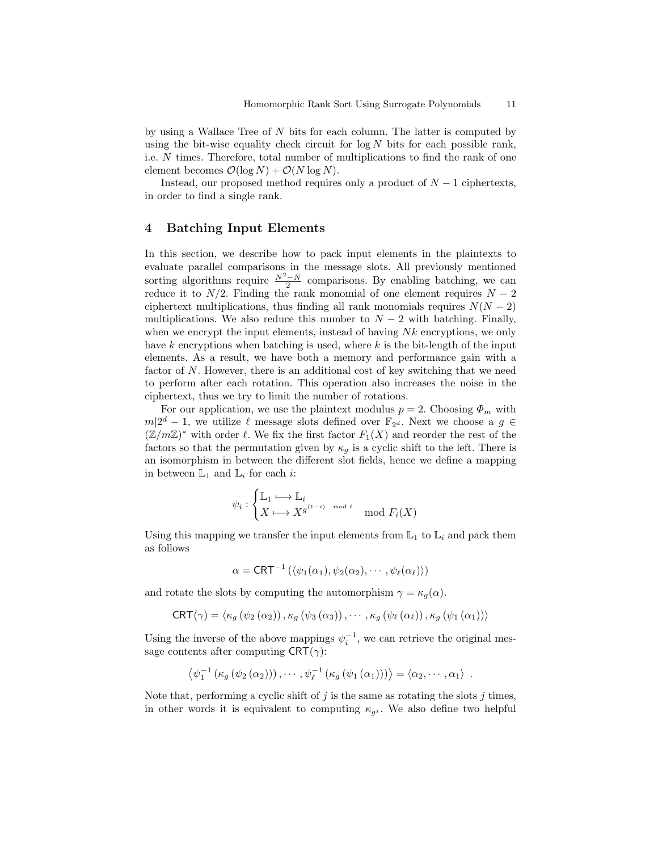by using a Wallace Tree of N bits for each column. The latter is computed by using the bit-wise equality check circuit for  $\log N$  bits for each possible rank, i.e. N times. Therefore, total number of multiplications to find the rank of one element becomes  $\mathcal{O}(\log N) + \mathcal{O}(N \log N)$ .

Instead, our proposed method requires only a product of  $N-1$  ciphertexts, in order to find a single rank.

## 4 Batching Input Elements

In this section, we describe how to pack input elements in the plaintexts to evaluate parallel comparisons in the message slots. All previously mentioned sorting algorithms require  $\frac{N^2-N}{2}$  comparisons. By enabling batching, we can reduce it to  $N/2$ . Finding the rank monomial of one element requires  $N-2$ ciphertext multiplications, thus finding all rank monomials requires  $N(N-2)$ multiplications. We also reduce this number to  $N-2$  with batching. Finally, when we encrypt the input elements, instead of having  $Nk$  encryptions, we only have k encryptions when batching is used, where k is the bit-length of the input elements. As a result, we have both a memory and performance gain with a factor of N. However, there is an additional cost of key switching that we need to perform after each rotation. This operation also increases the noise in the ciphertext, thus we try to limit the number of rotations.

For our application, we use the plaintext modulus  $p = 2$ . Choosing  $\Phi_m$  with  $m|2^d - 1$ , we utilize  $\ell$  message slots defined over  $\mathbb{F}_{2^d}$ . Next we choose a  $g \in$  $(\mathbb{Z}/m\mathbb{Z})^*$  with order  $\ell$ . We fix the first factor  $F_1(X)$  and reorder the rest of the factors so that the permutation given by  $\kappa_g$  is a cyclic shift to the left. There is an isomorphism in between the different slot fields, hence we define a mapping in between  $\mathbb{L}_1$  and  $\mathbb{L}_i$  for each *i*:

$$
\psi_i : \begin{cases} \mathbb{L}_1 \longmapsto \mathbb{L}_i \\ X \longmapsto X^{g^{(1-i)}} \mod \ell \\ \end{cases} \mod F_i(X)
$$

Using this mapping we transfer the input elements from  $\mathbb{L}_1$  to  $\mathbb{L}_i$  and pack them as follows

$$
\alpha = \text{CRT}^{-1}\left(\langle \psi_1(\alpha_1), \psi_2(\alpha_2), \cdots, \psi_\ell(\alpha_\ell) \rangle\right)
$$

and rotate the slots by computing the automorphism  $\gamma = \kappa_g(\alpha)$ .

$$
CRT(\gamma) = \langle \kappa_g \left( \psi_2 \left( \alpha_2 \right) \right), \kappa_g \left( \psi_3 \left( \alpha_3 \right) \right), \cdots, \kappa_g \left( \psi_\ell \left( \alpha_\ell \right) \right), \kappa_g \left( \psi_1 \left( \alpha_1 \right) \right) \rangle
$$

Using the inverse of the above mappings  $\psi_i^{-1}$ , we can retrieve the original message contents after computing  $CRT(\gamma)$ :

$$
\left\langle \psi_1^{-1} \left( \kappa_g \left( \psi_2 \left( \alpha_2 \right) \right) \right), \cdots, \psi_\ell^{-1} \left( \kappa_g \left( \psi_1 \left( \alpha_1 \right) \right) \right) \right\rangle = \left\langle \alpha_2, \cdots, \alpha_1 \right\rangle \; .
$$

Note that, performing a cyclic shift of  $j$  is the same as rotating the slots  $j$  times, in other words it is equivalent to computing  $\kappa_{g}$ . We also define two helpful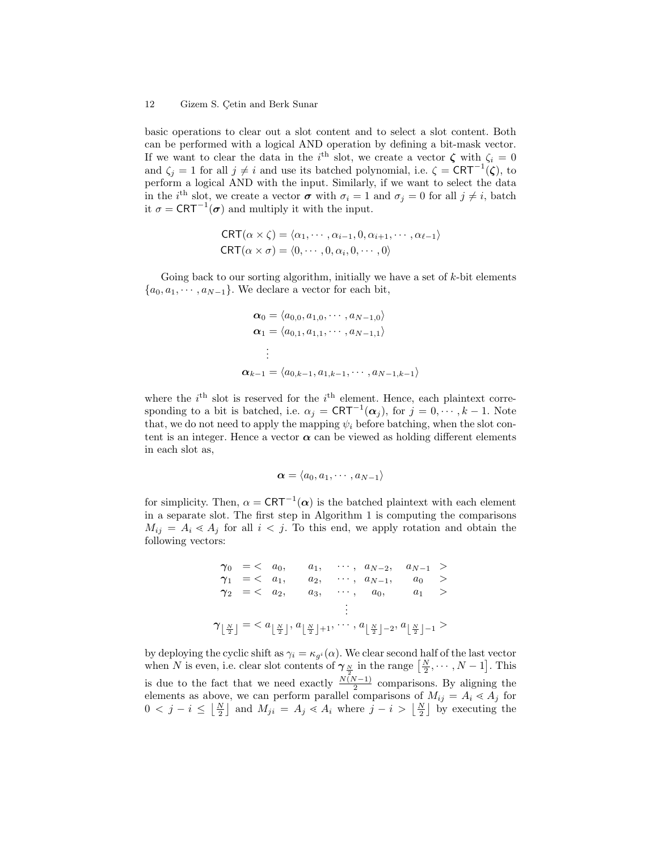#### 12 Gizem S. Cetin and Berk Sunar

basic operations to clear out a slot content and to select a slot content. Both can be performed with a logical AND operation by defining a bit-mask vector. If we want to clear the data in the i<sup>th</sup> slot, we create a vector  $\zeta$  with  $\zeta_i = 0$ and  $\zeta_j = 1$  for all  $j \neq i$  and use its batched polynomial, i.e.  $\zeta = \text{CRT}^{-1}(\zeta)$ , to perform a logical AND with the input. Similarly, if we want to select the data in the i<sup>th</sup> slot, we create a vector  $\sigma$  with  $\sigma_i = 1$  and  $\sigma_j = 0$  for all  $j \neq i$ , batch it  $\sigma = \text{CRT}^{-1}(\sigma)$  and multiply it with the input.

$$
CRT(\alpha \times \zeta) = \langle \alpha_1, \cdots, \alpha_{i-1}, 0, \alpha_{i+1}, \cdots, \alpha_{\ell-1} \rangle
$$
  
CRT( $\alpha \times \sigma$ ) = \langle 0, \cdots, 0, \alpha\_i, 0, \cdots, 0 \rangle

Going back to our sorting algorithm, initially we have a set of  $k$ -bit elements  ${a_0, a_1, \cdots, a_{N-1}}$ . We declare a vector for each bit,

$$
\alpha_0 = \langle a_{0,0}, a_{1,0}, \cdots, a_{N-1,0} \rangle
$$
  
\n
$$
\alpha_1 = \langle a_{0,1}, a_{1,1}, \cdots, a_{N-1,1} \rangle
$$
  
\n
$$
\vdots
$$
  
\n
$$
\alpha_{k-1} = \langle a_{0,k-1}, a_{1,k-1}, \cdots, a_{N-1,k-1} \rangle
$$

where the  $i<sup>th</sup>$  slot is reserved for the  $i<sup>th</sup>$  element. Hence, each plaintext corresponding to a bit is batched, i.e.  $\alpha_j = \text{CRT}^{-1}(\alpha_j)$ , for  $j = 0, \dots, k - 1$ . Note that, we do not need to apply the mapping  $\psi_i$  before batching, when the slot content is an integer. Hence a vector  $\alpha$  can be viewed as holding different elements in each slot as,

$$
\boldsymbol{\alpha}=\langle a_0, a_1, \cdots, a_{N-1}\rangle
$$

for simplicity. Then,  $\alpha = \text{CRT}^{-1}(\alpha)$  is the batched plaintext with each element in a separate slot. The first step in Algorithm 1 is computing the comparisons  $M_{ij} = A_i \ll A_j$  for all  $i < j$ . To this end, we apply rotation and obtain the following vectors:

$$
\gamma_0 = \langle a_0, a_1, \cdots, a_{N-2}, a_{N-1} \rangle
$$
  
\n
$$
\gamma_1 = \langle a_1, a_2, \cdots, a_{N-1}, a_0 \rangle
$$
  
\n
$$
\gamma_2 = \langle a_2, a_3, \cdots, a_0, a_1 \rangle
$$
  
\n
$$
\vdots
$$
  
\n
$$
\gamma_{\lfloor \frac{N}{2} \rfloor} = \langle a_{\lfloor \frac{N}{2} \rfloor}, a_{\lfloor \frac{N}{2} \rfloor+1}, \cdots, a_{\lfloor \frac{N}{2} \rfloor-2}, a_{\lfloor \frac{N}{2} \rfloor-1} \rangle
$$

by deploying the cyclic shift as  $\gamma_i = \kappa_{g^i}(\alpha)$ . We clear second half of the last vector when N is even, i.e. clear slot contents of  $\gamma_{\frac{N}{2}}$  in the range  $\left[\frac{N}{2}, \cdots, N-1\right]$ . This is due to the fact that we need exactly  $\frac{N(N-1)}{2}$  comparisons. By aligning the elements as above, we can perform parallel comparisons of  $M_{ij} = A_i \ll A_j$  for  $0 \lt j - i \leq \left\lfloor \frac{N}{2} \right\rfloor$  and  $M_{ji} = A_j \lt A_i$  where  $j - i > \left\lfloor \frac{N}{2} \right\rfloor$  by executing the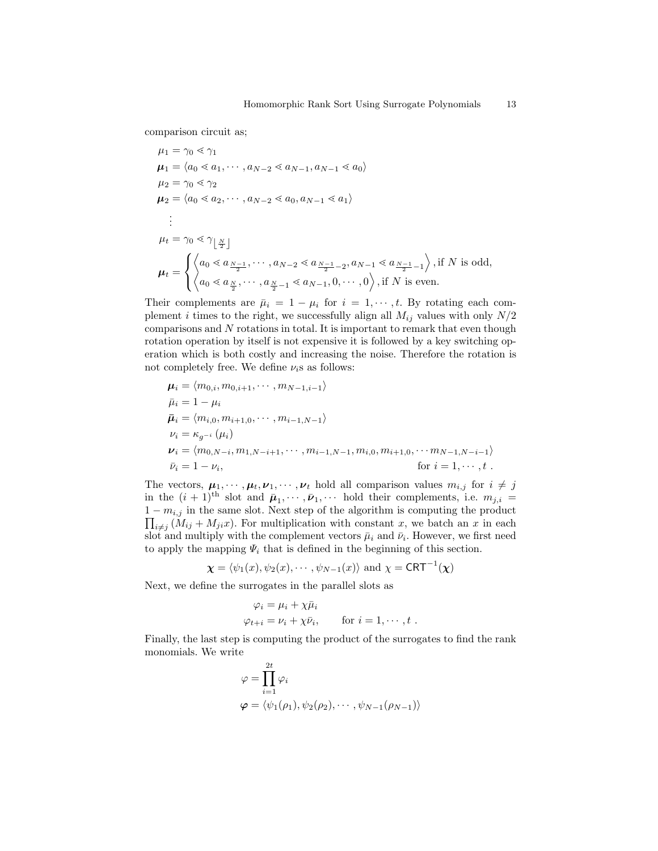comparison circuit as;

$$
\mu_1 = \gamma_0 \ll \gamma_1
$$
\n
$$
\mu_1 = \langle a_0 \ll a_1, \cdots, a_{N-2} \ll a_{N-1}, a_{N-1} \ll a_0 \rangle
$$
\n
$$
\mu_2 = \gamma_0 \ll \gamma_2
$$
\n
$$
\mu_2 = \langle a_0 \ll a_2, \cdots, a_{N-2} \ll a_0, a_{N-1} \ll a_1 \rangle
$$
\n
$$
\vdots
$$
\n
$$
\mu_t = \gamma_0 \ll \gamma_{\lfloor \frac{N}{2} \rfloor}
$$
\n
$$
\mu_t = \begin{cases}\n\langle a_0 \ll a_{\frac{N-1}{2}}, \cdots, a_{N-2} \ll a_{\frac{N-1}{2}-2}, a_{N-1} \ll a_{\frac{N-1}{2}-1} \rangle, \text{if } N \text{ is odd,} \\
\langle a_0 \ll a_{\frac{N}{2}}, \cdots, a_{\frac{N}{2}-1} \ll a_{N-1}, 0, \cdots, 0 \rangle, \text{if } N \text{ is even.}\n\end{cases}
$$

Their complements are  $\bar{\mu}_i = 1 - \mu_i$  for  $i = 1, \dots, t$ . By rotating each complement *i* times to the right, we successfully align all  $M_{ij}$  values with only  $N/2$ comparisons and N rotations in total. It is important to remark that even though rotation operation by itself is not expensive it is followed by a key switching operation which is both costly and increasing the noise. Therefore the rotation is not completely free. We define  $\nu_i$ s as follows:

$$
\mu_{i} = \langle m_{0,i}, m_{0,i+1}, \cdots, m_{N-1,i-1} \rangle \n\bar{\mu}_{i} = 1 - \mu_{i} \n\bar{\mu}_{i} = \langle m_{i,0}, m_{i+1,0}, \cdots, m_{i-1,N-1} \rangle \n\nu_{i} = \kappa_{g^{-i}} (\mu_{i}) \n\nu_{i} = \langle m_{0,N-i}, m_{1,N-i+1}, \cdots, m_{i-1,N-1}, m_{i,0}, m_{i+1,0}, \cdots m_{N-1,N-i-1} \rangle \n\bar{\nu}_{i} = 1 - \nu_{i}, \qquad \text{for } i = 1, \cdots, t.
$$

The vectors,  $\mu_1, \dots, \mu_t, \nu_1, \dots, \nu_t$  hold all comparison values  $m_{i,j}$  for  $i \neq j$ in the  $(i + 1)$ <sup>th</sup> slot and  $\bar{\mu}_1, \dots, \bar{\nu}_1, \dots$  hold their complements, i.e.  $m_{j,i} =$  $1 - m_{i,j}$  in the same slot. Next step of the algorithm is computing the product  $1 - m_{i,j}$  in the same slot. Next step of the algorithm is computing the product  $\prod_{i \neq j} (M_{ij} + M_{ji}x)$ . For multiplication with constant x, we batch an x in each slot and multiply with the complement vectors  $\bar{\mu}_i$  and  $\bar{\nu}_i$ . However, we first need to apply the mapping  $\Psi_i$  that is defined in the beginning of this section.

$$
\chi = \langle \psi_1(x), \psi_2(x), \cdots, \psi_{N-1}(x) \rangle
$$
 and  $\chi = \text{CRT}^{-1}(\chi)$ 

Next, we define the surrogates in the parallel slots as

$$
\varphi_i = \mu_i + \chi \bar{\mu}_i
$$
  
\n
$$
\varphi_{t+i} = \nu_i + \chi \bar{\nu}_i, \qquad \text{for } i = 1, \cdots, t.
$$

Finally, the last step is computing the product of the surrogates to find the rank monomials. We write

$$
\varphi = \prod_{i=1}^{2t} \varphi_i
$$
  

$$
\varphi = \langle \psi_1(\rho_1), \psi_2(\rho_2), \cdots, \psi_{N-1}(\rho_{N-1}) \rangle
$$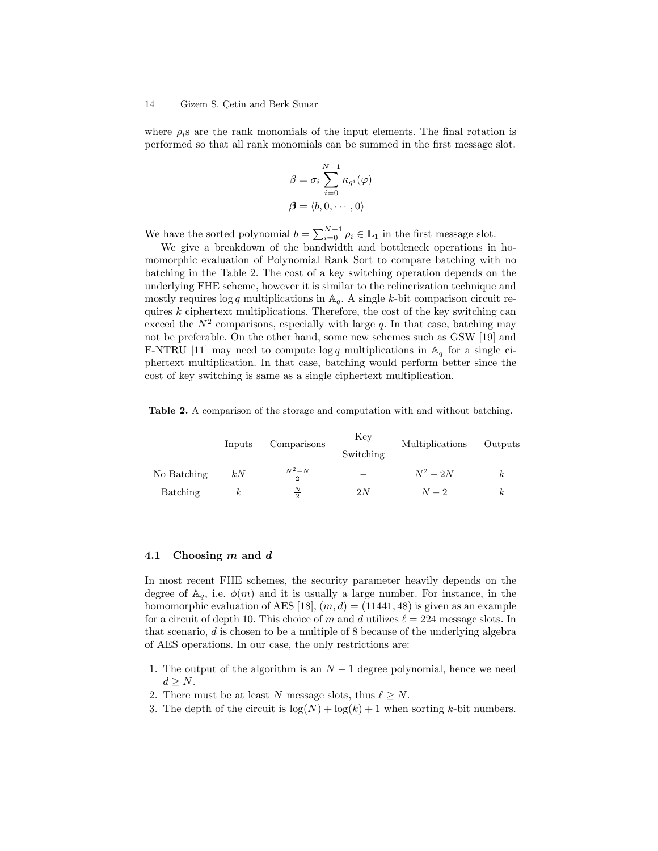#### 14 Gizem S. Çetin and Berk Sunar

where  $\rho_i$ s are the rank monomials of the input elements. The final rotation is performed so that all rank monomials can be summed in the first message slot.

$$
\beta = \sigma_i \sum_{i=0}^{N-1} \kappa_{g^i}(\varphi)
$$

$$
\beta = \langle b, 0, \dots, 0 \rangle
$$

We have the sorted polynomial  $b = \sum_{i=0}^{N-1} \rho_i \in \mathbb{L}_1$  in the first message slot.

We give a breakdown of the bandwidth and bottleneck operations in homomorphic evaluation of Polynomial Rank Sort to compare batching with no batching in the Table 2. The cost of a key switching operation depends on the underlying FHE scheme, however it is similar to the relinerization technique and mostly requires  $\log q$  multiplications in  $\mathbb{A}_q$ . A single k-bit comparison circuit requires  $k$  ciphertext multiplications. Therefore, the cost of the key switching can exceed the  $N^2$  comparisons, especially with large q. In that case, batching may not be preferable. On the other hand, some new schemes such as GSW [19] and F-NTRU [11] may need to compute  $\log q$  multiplications in  $\mathbb{A}_q$  for a single ciphertext multiplication. In that case, batching would perform better since the cost of key switching is same as a single ciphertext multiplication.

Table 2. A comparison of the storage and computation with and without batching.

|             | Inputs      | Comparisons   | Key<br>Switching | Multiplications | Outputs |
|-------------|-------------|---------------|------------------|-----------------|---------|
| No Batching | kN          | $N^2-N$       |                  | $N^2-2N$        | k,      |
| Batching    | $_{\kappa}$ | $\frac{N}{2}$ | 2N               | $N-2$           | κ       |

### 4.1 Choosing m and d

In most recent FHE schemes, the security parameter heavily depends on the degree of  $\mathbb{A}_q$ , i.e.  $\phi(m)$  and it is usually a large number. For instance, in the homomorphic evaluation of AES [18],  $(m, d) = (11441, 48)$  is given as an example for a circuit of depth 10. This choice of m and d utilizes  $\ell = 224$  message slots. In that scenario,  $d$  is chosen to be a multiple of 8 because of the underlying algebra of AES operations. In our case, the only restrictions are:

- 1. The output of the algorithm is an  $N-1$  degree polynomial, hence we need  $d > N$ .
- 2. There must be at least N message slots, thus  $\ell \geq N$ .
- 3. The depth of the circuit is  $\log(N) + \log(k) + 1$  when sorting k-bit numbers.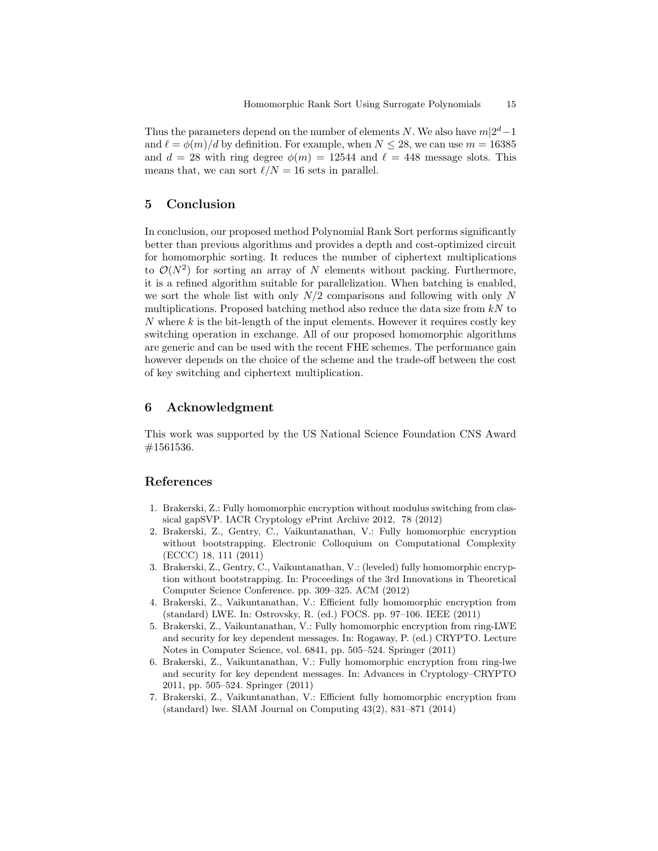Thus the parameters depend on the number of elements N. We also have  $m|2^d-1$ and  $\ell = \phi(m)/d$  by definition. For example, when  $N \leq 28$ , we can use  $m = 16385$ and  $d = 28$  with ring degree  $\phi(m) = 12544$  and  $\ell = 448$  message slots. This means that, we can sort  $\ell/N = 16$  sets in parallel.

# 5 Conclusion

In conclusion, our proposed method Polynomial Rank Sort performs significantly better than previous algorithms and provides a depth and cost-optimized circuit for homomorphic sorting. It reduces the number of ciphertext multiplications to  $\mathcal{O}(N^2)$  for sorting an array of N elements without packing. Furthermore, it is a refined algorithm suitable for parallelization. When batching is enabled, we sort the whole list with only  $N/2$  comparisons and following with only N multiplications. Proposed batching method also reduce the data size from  $kN$  to  $N$  where  $k$  is the bit-length of the input elements. However it requires costly key switching operation in exchange. All of our proposed homomorphic algorithms are generic and can be used with the recent FHE schemes. The performance gain however depends on the choice of the scheme and the trade-off between the cost of key switching and ciphertext multiplication.

# 6 Acknowledgment

This work was supported by the US National Science Foundation CNS Award #1561536.

### References

- 1. Brakerski, Z.: Fully homomorphic encryption without modulus switching from classical gapSVP. IACR Cryptology ePrint Archive 2012, 78 (2012)
- 2. Brakerski, Z., Gentry, C., Vaikuntanathan, V.: Fully homomorphic encryption without bootstrapping. Electronic Colloquium on Computational Complexity (ECCC) 18, 111 (2011)
- 3. Brakerski, Z., Gentry, C., Vaikuntanathan, V.: (leveled) fully homomorphic encryption without bootstrapping. In: Proceedings of the 3rd Innovations in Theoretical Computer Science Conference. pp. 309–325. ACM (2012)
- 4. Brakerski, Z., Vaikuntanathan, V.: Efficient fully homomorphic encryption from (standard) LWE. In: Ostrovsky, R. (ed.) FOCS. pp. 97–106. IEEE (2011)
- 5. Brakerski, Z., Vaikuntanathan, V.: Fully homomorphic encryption from ring-LWE and security for key dependent messages. In: Rogaway, P. (ed.) CRYPTO. Lecture Notes in Computer Science, vol. 6841, pp. 505–524. Springer (2011)
- 6. Brakerski, Z., Vaikuntanathan, V.: Fully homomorphic encryption from ring-lwe and security for key dependent messages. In: Advances in Cryptology–CRYPTO 2011, pp. 505–524. Springer (2011)
- 7. Brakerski, Z., Vaikuntanathan, V.: Efficient fully homomorphic encryption from (standard) lwe. SIAM Journal on Computing 43(2), 831–871 (2014)